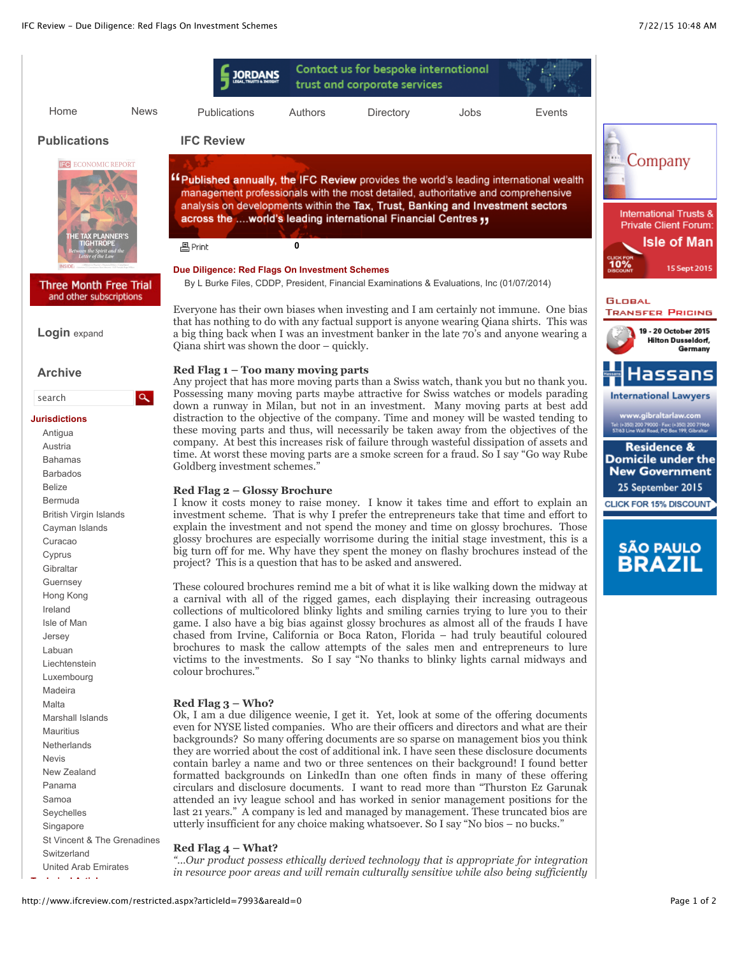